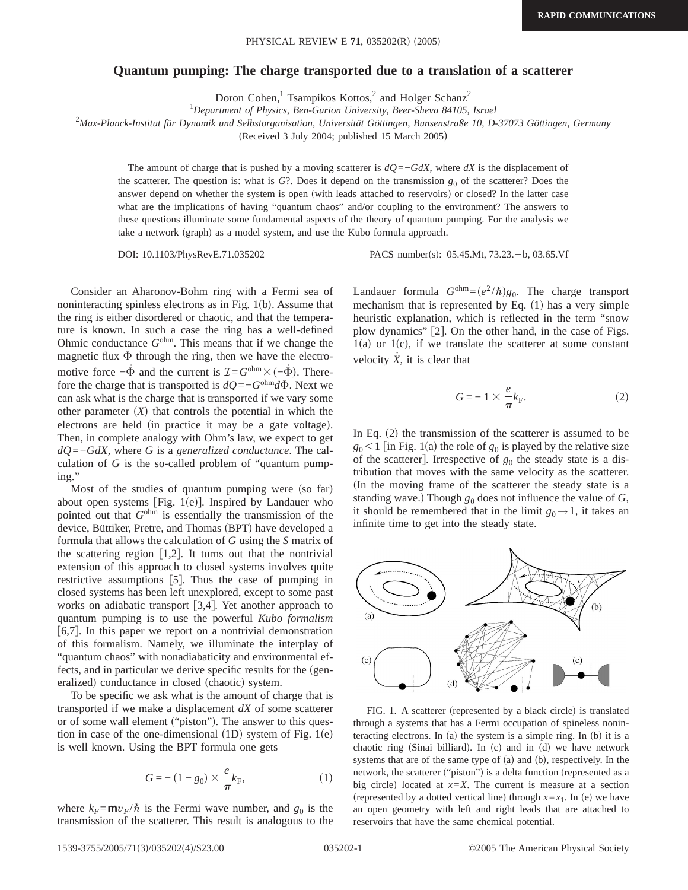## **Quantum pumping: The charge transported due to a translation of a scatterer**

Doron Cohen,<sup>1</sup> Tsampikos Kottos,<sup>2</sup> and Holger Schanz<sup>2</sup>

1 *Department of Physics, Ben-Gurion University, Beer-Sheva 84105, Israel*

2 *Max-Planck-Institut für Dynamik und Selbstorganisation, Universität Göttingen, Bunsenstraße 10, D-37073 Göttingen, Germany*

(Received 3 July 2004; published 15 March 2005)

The amount of charge that is pushed by a moving scatterer is *dQ*=−*GdX*, where *dX* is the displacement of the scatterer. The question is: what is  $G$ ?. Does it depend on the transmission  $g_0$  of the scatterer? Does the answer depend on whether the system is open (with leads attached to reservoirs) or closed? In the latter case what are the implications of having "quantum chaos" and/or coupling to the environment? The answers to these questions illuminate some fundamental aspects of the theory of quantum pumping. For the analysis we take a network (graph) as a model system, and use the Kubo formula approach.

DOI: 10.1103/PhysRevE.71.035202 PACS number(s): 05.45.Mt, 73.23. b, 03.65.Vf

Consider an Aharonov-Bohm ring with a Fermi sea of noninteracting spinless electrons as in Fig.  $1(b)$ . Assume that the ring is either disordered or chaotic, and that the temperature is known. In such a case the ring has a well-defined Ohmic conductance *G*ohm. This means that if we change the magnetic flux  $\Phi$  through the ring, then we have the electromotive force  $-\dot{\Phi}$  and the current is  $\mathcal{I} = G^{\text{ohm}} \times (-\dot{\Phi})$ . Therefore the charge that is transported is  $dQ = -G^{\text{ohm}}d\Phi$ . Next we can ask what is the charge that is transported if we vary some other parameter  $(X)$  that controls the potential in which the electrons are held (in practice it may be a gate voltage). Then, in complete analogy with Ohm's law, we expect to get *dQ*=−*GdX*, where *G* is a *generalized conductance*. The calculation of *G* is the so-called problem of "quantum pumping."

Most of the studies of quantum pumping were (so far) about open systems [Fig.  $1(e)$ ]. Inspired by Landauer who pointed out that *G*ohm is essentially the transmission of the device, Büttiker, Pretre, and Thomas (BPT) have developed a formula that allows the calculation of *G* using the *S* matrix of the scattering region  $\lceil 1,2 \rceil$ . It turns out that the nontrivial extension of this approach to closed systems involves quite restrictive assumptions  $[5]$ . Thus the case of pumping in closed systems has been left unexplored, except to some past works on adiabatic transport  $[3,4]$ . Yet another approach to quantum pumping is to use the powerful *Kubo formalism* [6,7]. In this paper we report on a nontrivial demonstration of this formalism. Namely, we illuminate the interplay of "quantum chaos" with nonadiabaticity and environmental effects, and in particular we derive specific results for the (generalized) conductance in closed (chaotic) system.

To be specific we ask what is the amount of charge that is transported if we make a displacement *dX* of some scatterer or of some wall element ("piston"). The answer to this question in case of the one-dimensional  $(1D)$  system of Fig. 1(e) is well known. Using the BPT formula one gets

$$
G = -(1 - g_0) \times \frac{e}{\pi} k_{\rm F},
$$
 (1)

where  $k_F = m v_F / \hbar$  is the Fermi wave number, and  $g_0$  is the transmission of the scatterer. This result is analogous to the Landauer formula  $G^{\text{ohm}} = (e^2 / \hbar) g_0$ . The charge transport mechanism that is represented by Eq.  $(1)$  has a very simple heuristic explanation, which is reflected in the term "snow plow dynamics"  $[2]$ . On the other hand, in the case of Figs.  $1(a)$  or  $1(c)$ , if we translate the scatterer at some constant velocity  $\dot{X}$ , it is clear that

$$
G = -1 \times \frac{e}{\pi} k_{\rm F}.
$$
 (2)

In Eq.  $(2)$  the transmission of the scatterer is assumed to be  $g_0$ <1 [in Fig. 1(a) the role of  $g_0$  is played by the relative size of the scatterer]. Irrespective of  $g_0$  the steady state is a distribution that moves with the same velocity as the scatterer. In the moving frame of the scatterer the steady state is a standing wave.) Though  $g_0$  does not influence the value of *G*, it should be remembered that in the limit  $g_0 \rightarrow 1$ , it takes an infinite time to get into the steady state.



FIG. 1. A scatterer (represented by a black circle) is translated through a systems that has a Fermi occupation of spineless noninteracting electrons. In (a) the system is a simple ring. In (b) it is a chaotic ring (Sinai billiard). In  $(c)$  and in  $(d)$  we have network systems that are of the same type of  $(a)$  and  $(b)$ , respectively. In the network, the scatterer ("piston") is a delta function (represented as a big circle) located at  $x=X$ . The current is measure at a section (represented by a dotted vertical line) through  $x=x_1$ . In (e) we have an open geometry with left and right leads that are attached to reservoirs that have the same chemical potential.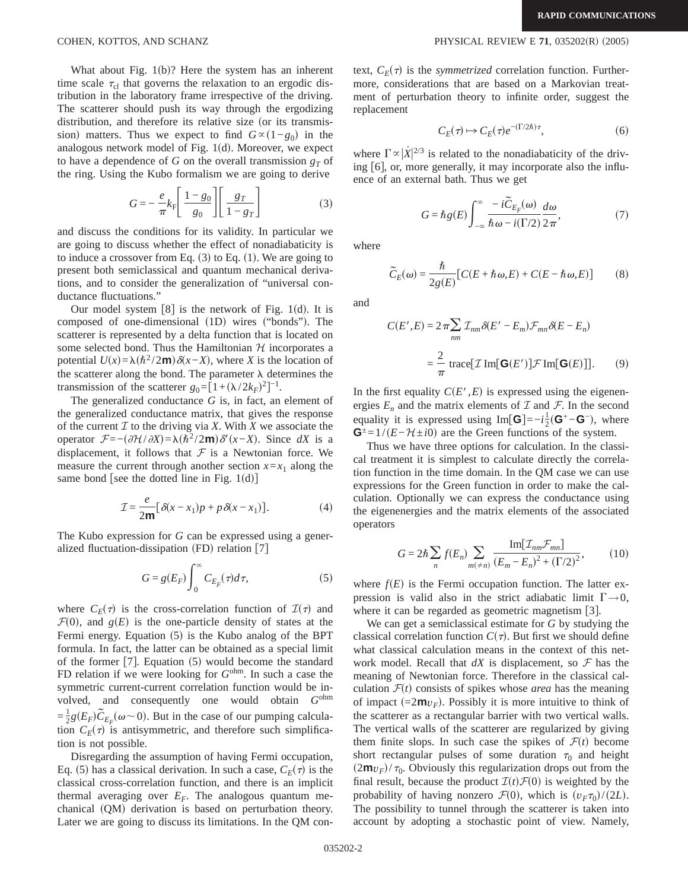What about Fig.  $1(b)$ ? Here the system has an inherent time scale  $\tau_{cl}$  that governs the relaxation to an ergodic distribution in the laboratory frame irrespective of the driving. The scatterer should push its way through the ergodizing distribution, and therefore its relative size (or its transmission) matters. Thus we expect to find  $G \propto (1-g_0)$  in the analogous network model of Fig.  $1(d)$ . Moreover, we expect to have a dependence of *G* on the overall transmission  $g<sub>T</sub>$  of the ring. Using the Kubo formalism we are going to derive

$$
G = -\frac{e}{\pi} k_{\rm F} \left[ \frac{1 - g_0}{g_0} \right] \left[ \frac{g_T}{1 - g_T} \right]
$$
 (3)

and discuss the conditions for its validity. In particular we are going to discuss whether the effect of nonadiabaticity is to induce a crossover from Eq.  $(3)$  to Eq.  $(1)$ . We are going to present both semiclassical and quantum mechanical derivations, and to consider the generalization of "universal conductance fluctuations."

Our model system  $[8]$  is the network of Fig. 1(d). It is composed of one-dimensional  $(1D)$  wires ("bonds"). The scatterer is represented by a delta function that is located on some selected bond. Thus the Hamiltonian  $H$  incorporates a potential  $U(x) = \lambda (h^2 / 2m) \delta(x - X)$ , where *X* is the location of the scatterer along the bond. The parameter  $\lambda$  determines the transmission of the scatterer  $g_0 = [1 + (\lambda/2k_F)^2]^{-1}$ .

The generalized conductance *G* is, in fact, an element of the generalized conductance matrix, that gives the response of the current  $I$  to the driving via  $X$ . With  $X$  we associate the operator  $\mathcal{F} = -\left(\frac{\partial \mathcal{H}}{\partial X}\right) = \lambda(\hbar^2/2\mathbf{m})\delta'(x-X)$ . Since *dX* is a displacement, it follows that  $\mathcal F$  is a Newtonian force. We measure the current through another section  $x=x_1$  along the same bond [see the dotted line in Fig.  $1(d)$ ]

$$
\mathcal{I} = \frac{e}{2m} [\delta(x - x_1)p + p\,\delta(x - x_1)].\tag{4}
$$

The Kubo expression for *G* can be expressed using a generalized fluctuation-dissipation  $(FD)$  relation  $[7]$ 

$$
G = g(E_F) \int_0^\infty C_{E_F}(\tau) d\tau,
$$
\n(5)

where  $C_F(\tau)$  is the cross-correlation function of  $\mathcal{I}(\tau)$  and  $\mathcal{F}(0)$ , and  $g(E)$  is the one-particle density of states at the Fermi energy. Equation  $(5)$  is the Kubo analog of the BPT formula. In fact, the latter can be obtained as a special limit of the former  $[7]$ . Equation  $(5)$  would become the standard FD relation if we were looking for *G*ohm. In such a case the symmetric current-current correlation function would be involved, and consequently one would obtain *G*ohm  $=\frac{1}{2}g(E_F)\widetilde{C}_{E_F}(\omega \sim 0)$ . But in the case of our pumping calculation  $C_E(\tau)$  is antisymmetric, and therefore such simplification is not possible.

Disregarding the assumption of having Fermi occupation, Eq. (5) has a classical derivation. In such a case,  $C_F(\tau)$  is the classical cross-correlation function, and there is an implicit thermal averaging over  $E_F$ . The analogous quantum mechanical (QM) derivation is based on perturbation theory. Later we are going to discuss its limitations. In the QM context,  $C_F(\tau)$  is the *symmetrized* correlation function. Furthermore, considerations that are based on a Markovian treatment of perturbation theory to infinite order, suggest the replacement

$$
C_E(\tau) \mapsto C_E(\tau) e^{-(\Gamma/2\hbar)\tau},\tag{6}
$$

where  $\Gamma \propto |\dot{X}|^{2/3}$  is related to the nonadiabaticity of the driving [6], or, more generally, it may incorporate also the influence of an external bath. Thus we get

$$
G = \hbar g(E) \int_{-\infty}^{\infty} \frac{-i\tilde{C}_{E_F}(\omega)}{\hbar \omega - i(\Gamma/2)} \frac{d\omega}{2\pi},
$$
 (7)

where

$$
\widetilde{C}_E(\omega) = \frac{\hbar}{2g(E)} [C(E + \hbar \omega, E) + C(E - \hbar \omega, E)] \tag{8}
$$

and

$$
C(E', E) = 2\pi \sum_{nm} \mathcal{I}_{nm} \delta(E' - E_m) \mathcal{F}_{mn} \delta(E - E_n)
$$

$$
= \frac{2}{\pi} \operatorname{trace}[\mathcal{I} \operatorname{Im}[\mathbf{G}(E')] \mathcal{F} \operatorname{Im}[\mathbf{G}(E)]]. \tag{9}
$$

In the first equality  $C(E', E)$  is expressed using the eigenenergies  $E_n$  and the matrix elements of  $\mathcal I$  and  $\mathcal F$ . In the second equality it is expressed using Im[ $G$ ]=− $i\frac{1}{2}(G^+ - G^-)$ , where  $\mathbf{G}^{\pm} = 1/(E - \mathcal{H} \pm i0)$  are the Green functions of the system.

Thus we have three options for calculation. In the classical treatment it is simplest to calculate directly the correlation function in the time domain. In the QM case we can use expressions for the Green function in order to make the calculation. Optionally we can express the conductance using the eigenenergies and the matrix elements of the associated operators

$$
G = 2\hbar \sum_{n} f(E_n) \sum_{m(\neq n)} \frac{\text{Im}[\mathcal{I}_{nm} \mathcal{F}_{mn}]}{(E_m - E_n)^2 + (\Gamma/2)^2},
$$
(10)

where  $f(E)$  is the Fermi occupation function. The latter expression is valid also in the strict adiabatic limit  $\Gamma \rightarrow 0$ , where it can be regarded as geometric magnetism  $[3]$ .

We can get a semiclassical estimate for *G* by studying the classical correlation function  $C(\tau)$ . But first we should define what classical calculation means in the context of this network model. Recall that  $dX$  is displacement, so  $\mathcal F$  has the meaning of Newtonian force. Therefore in the classical calculation  $\mathcal{F}(t)$  consists of spikes whose *area* has the meaning of impact  $(=2m v_F)$ . Possibly it is more intuitive to think of the scatterer as a rectangular barrier with two vertical walls. The vertical walls of the scatterer are regularized by giving them finite slops. In such case the spikes of  $\mathcal{F}(t)$  become short rectangular pulses of some duration  $\tau_0$  and height  $(2m v_F)/\tau_0$ . Obviously this regularization drops out from the final result, because the product  $\mathcal{I}(t)\mathcal{F}(0)$  is weighted by the probability of having nonzero  $\mathcal{F}(0)$ , which is  $(v_F \tau_0)/(2L)$ . The possibility to tunnel through the scatterer is taken into account by adopting a stochastic point of view. Namely,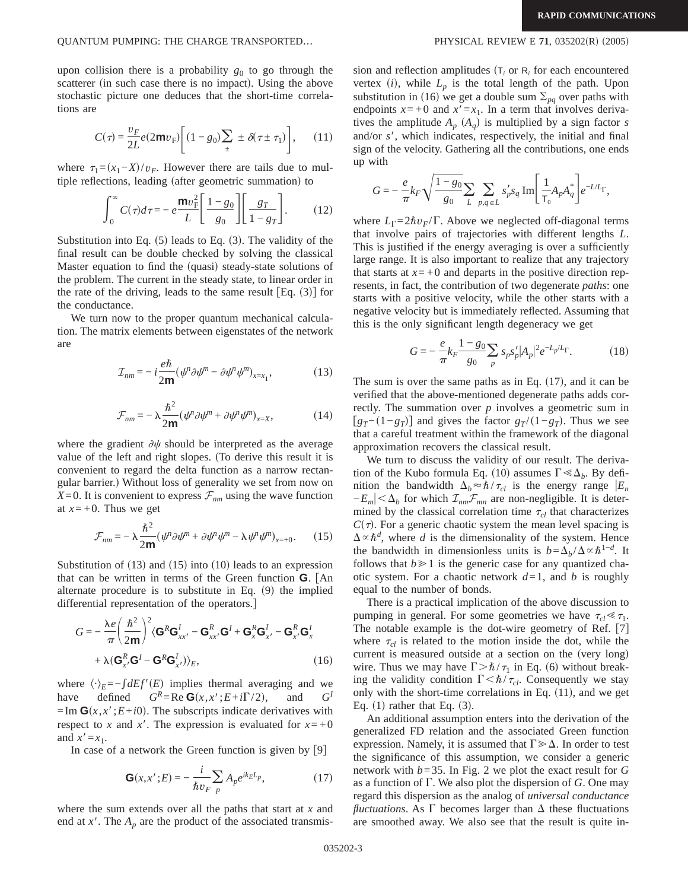upon collision there is a probability  $g_0$  to go through the scatterer (in such case there is no impact). Using the above stochastic picture one deduces that the short-time correlations are

$$
C(\tau) = \frac{v_F}{2L} e(2\mathbf{m}v_F) \left[ (1 - g_0) \sum_{\pm} \pm \delta(\tau \pm \tau_1) \right], \qquad (11)
$$

where  $\tau_1=(x_1-X)/v_F$ . However there are tails due to multiple reflections, leading (after geometric summation) to

$$
\int_0^\infty C(\tau)d\tau = -e^{\frac{\mathbf{m}v_F^2}{L}} \left[ \frac{1-g_0}{g_0} \right] \left[ \frac{g_T}{1-g_T} \right].
$$
 (12)

Substitution into Eq.  $(5)$  leads to Eq.  $(3)$ . The validity of the final result can be double checked by solving the classical Master equation to find the (quasi) steady-state solutions of the problem. The current in the steady state, to linear order in the rate of the driving, leads to the same result  $Eq. (3)$  for the conductance.

We turn now to the proper quantum mechanical calculation. The matrix elements between eigenstates of the network are

$$
\mathcal{I}_{nm} = -i\frac{e\hbar}{2m}(\psi^{\mu}\partial\psi^{\mu} - \partial\psi^{\mu}\psi^{\mu})_{x=x_1},\tag{13}
$$

$$
\mathcal{F}_{nm} = -\lambda \frac{\hbar^2}{2m} (\psi^n \partial \psi^m + \partial \psi^n \psi^m)_{x=X},\tag{14}
$$

where the gradient  $\partial \psi$  should be interpreted as the average value of the left and right slopes. (To derive this result it is convenient to regard the delta function as a narrow rectangular barrier.) Without loss of generality we set from now on *X*=0. It is convenient to express  $\mathcal{F}_{nm}$  using the wave function at  $x=+0$ . Thus we get

$$
\mathcal{F}_{nm} = -\lambda \frac{\hbar^2}{2m} (\psi^n \partial \psi^m + \partial \psi^n \psi^m - \lambda \psi^n \psi^m)_{x=+0}.
$$
 (15)

Substitution of  $(13)$  and  $(15)$  into  $(10)$  leads to an expression that can be written in terms of the Green function **G**. fAn alternate procedure is to substitute in Eq.  $(9)$  the implied differential representation of the operators.]

$$
G = -\frac{\lambda e}{\pi} \left( \frac{\hbar^2}{2m} \right)^2 \langle \mathbf{G}^R \mathbf{G}^I_{xx'} - \mathbf{G}^R_{xx'} \mathbf{G}^I + \mathbf{G}^R_x \mathbf{G}^I_{x'} - \mathbf{G}^R_{x'} \mathbf{G}^I_x
$$

$$
+ \lambda (\mathbf{G}^R_{x'} \mathbf{G}^I - \mathbf{G}^R \mathbf{G}^I_{x'}) \rangle_E, \tag{16}
$$

where  $\langle \cdot \rangle_E = -\int dE f'(E)$  implies thermal averaging and we have defined  $G^R = \text{Re } \mathbf{G}(x, x'; E + i\Gamma/2)$ , and  $G^I$ have defined  $G^R = \text{Re } \mathbf{G}(x, x'; E + i\Gamma/2),$  $=$ Im  $\mathbf{G}(x, x'; E + i0)$ . The subscripts indicate derivatives with respect to *x* and *x'*. The expression is evaluated for  $x = +0$ and  $x' = x_1$ .

In case of a network the Green function is given by  $[9]$ 

$$
\mathbf{G}(x, x'; E) = -\frac{i}{\hbar v_F} \sum_p A_p e^{ik_E L_p},\tag{17}
$$

where the sum extends over all the paths that start at *x* and end at  $x'$ . The  $A_p$  are the product of the associated transmission and reflection amplitudes  $(T_i$  or  $R_i$  for each encountered vertex  $(i)$ , while  $L_p$  is the total length of the path. Upon substitution in (16) we get a double sum  $\Sigma_{pq}$  over paths with endpoints  $x = +0$  and  $x' = x_1$ . In a term that involves derivatives the amplitude  $A_p$  ( $A_q$ ) is multiplied by a sign factor *s* and/or s', which indicates, respectively, the initial and final sign of the velocity. Gathering all the contributions, one ends up with

$$
G=-\,\frac{e}{\pi}k_F\sqrt{\frac{1-g_0}{g_0}}\sum_L\sum_{p,q\,\in\,L}s_p's_q\;{\rm Im}\Bigg[\,\frac{1}{\mathsf{T}_0}{\cal A}_p{\cal A}_q^*\Bigg]e^{-L/L_\Gamma},
$$

where  $L_{\Gamma} = 2\hbar v_F/\Gamma$ . Above we neglected off-diagonal terms that involve pairs of trajectories with different lengths *L*. This is justified if the energy averaging is over a sufficiently large range. It is also important to realize that any trajectory that starts at  $x = +0$  and departs in the positive direction represents, in fact, the contribution of two degenerate *paths*: one starts with a positive velocity, while the other starts with a negative velocity but is immediately reflected. Assuming that this is the only significant length degeneracy we get

$$
G = -\frac{e}{\pi} k_F \frac{1 - g_0}{g_0} \sum_p s_p s_p' |A_p|^2 e^{-L_p/L_\Gamma}.
$$
 (18)

The sum is over the same paths as in Eq.  $(17)$ , and it can be verified that the above-mentioned degenerate paths adds correctly. The summation over *p* involves a geometric sum in  $[g_T-(1-g_T)]$  and gives the factor  $g_T/(1-g_T)$ . Thus we see that a careful treatment within the framework of the diagonal approximation recovers the classical result.

We turn to discuss the validity of our result. The derivation of the Kubo formula Eq. (10) assumes  $\Gamma \ll \Delta_b$ . By definition the bandwidth  $\Delta_b \approx \hbar / \tau_{cl}$  is the energy range  $|E_n|$  $-E_m$ |  $\lt \Delta_b$  for which  $\mathcal{I}_{nm}$ *F*<sub>mn</sub> are non-negligible. It is determined by the classical correlation time  $\tau_{cl}$  that characterizes  $C(\tau)$ . For a generic chaotic system the mean level spacing is  $\Delta \propto \hbar^d$ , where *d* is the dimensionality of the system. Hence the bandwidth in dimensionless units is  $b = \Delta_b / \Delta \propto \hbar^{1-d}$ . It follows that  $b \ge 1$  is the generic case for any quantized chaotic system. For a chaotic network  $d=1$ , and *b* is roughly equal to the number of bonds.

There is a practical implication of the above discussion to pumping in general. For some geometries we have  $\tau_{cl} \ll \tau_1$ . The notable example is the dot-wire geometry of Ref.  $[7]$ where  $\tau_{cl}$  is related to the motion inside the dot, while the current is measured outside at a section on the (very long) wire. Thus we may have  $\Gamma > \hbar / \tau_1$  in Eq. (6) without breaking the validity condition  $\Gamma < \hbar / \tau_{cl}$ . Consequently we stay only with the short-time correlations in Eq.  $(11)$ , and we get Eq.  $(1)$  rather that Eq.  $(3)$ .

An additional assumption enters into the derivation of the generalized FD relation and the associated Green function expression. Namely, it is assumed that  $\Gamma \geq \Delta$ . In order to test the significance of this assumption, we consider a generic network with *b*=35. In Fig. 2 we plot the exact result for *G* as a function of  $\Gamma$ . We also plot the dispersion of *G*. One may regard this dispersion as the analog of *universal conductance fluctuations*. As  $\Gamma$  becomes larger than  $\Delta$  these fluctuations are smoothed away. We also see that the result is quite in-